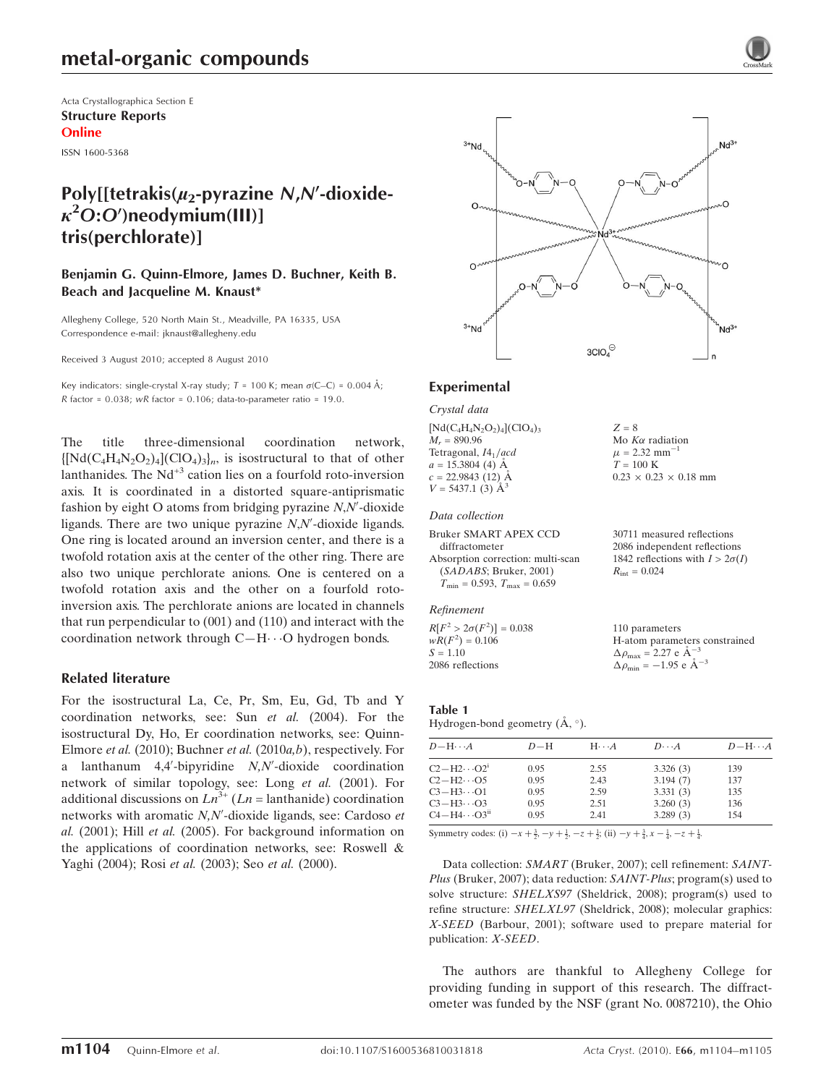Acta Crystallographica Section E Structure Reports Online

ISSN 1600-5368

## Poly[[tetrakis( $\mu_2$ -pyrazine N,N'-dioxide- $\kappa^2$ O:O')neodymium(III)] tris(perchlorate)]

Benjamin G. Quinn-Elmore, James D. Buchner, Keith B. Beach and Jacqueline M. Knaust\*

Allegheny College, 520 North Main St., Meadville, PA 16335, USA Correspondence e-mail: jknaust@allegheny.edu

Received 3 August 2010; accepted 8 August 2010

Key indicators: single-crystal X-ray study;  $T = 100$  K; mean  $\sigma$ (C–C) = 0.004 Å; R factor =  $0.038$ ; wR factor =  $0.106$ ; data-to-parameter ratio = 19.0.

The title three-dimensional coordination network,  $\{\left[Nd(C_4H_4N_2O_2)\right] (ClO_4)_{3}\}\$ <sub>n</sub>, is isostructural to that of other lanthanides. The  $Nd^{+3}$  cation lies on a fourfold roto-inversion axis. It is coordinated in a distorted square-antiprismatic fashion by eight O atoms from bridging pyrazine  $N, N'$ -dioxide ligands. There are two unique pyrazine  $N$ , $N'$ -dioxide ligands. One ring is located around an inversion center, and there is a twofold rotation axis at the center of the other ring. There are also two unique perchlorate anions. One is centered on a twofold rotation axis and the other on a fourfold rotoinversion axis. The perchlorate anions are located in channels that run perpendicular to (001) and (110) and interact with the coordination network through  $C-H\cdots O$  hydrogen bonds.

#### Related literature

For the isostructural La, Ce, Pr, Sm, Eu, Gd, Tb and Y coordination networks, see: Sun et al. (2004). For the isostructural Dy, Ho, Er coordination networks, see: Quinn-Elmore et al. (2010); Buchner et al. (2010a,b), respectively. For a lanthanum  $4,4'$ -bipyridine  $N,N'$ -dioxide coordination network of similar topology, see: Long et al. (2001). For additional discussions on  $Ln^{3+}(Ln = lanthanide)$  coordination networks with aromatic N,N'-dioxide ligands, see: Cardoso et al. (2001); Hill et al. (2005). For background information on the applications of coordination networks, see: Roswell & Yaghi (2004); Rosi et al. (2003); Seo et al. (2000).



 $Z = 8$ 

Mo  $K\alpha$  radiation  $\mu$  = 2.32 mm<sup>-1</sup>  $T = 100 \text{ K}$ 

 $R_{\text{int}} = 0.024$ 

 $0.23 \times 0.23 \times 0.18$  mm

30711 measured reflections 2086 independent reflections 1842 reflections with  $I > 2\sigma(I)$ 

#### Experimental

Crystal data

 $[Nd(C_4H_4N_2O_2)_4](ClO_4)_3$  $M_r = 890.96$ Tetragonal,  $I4_1/acd$  $a = 15.3804$  (4) Å  $c = 22.9843$  (12) Å  $V = 5437.1$  (3)  $\AA^3$ 

#### Data collection

```
Bruker SMART APEX CCD
  diffractometer
Absorption correction: multi-scan
  (SADABS; Bruker, 2001)
  T_{\text{min}} = 0.593, T_{\text{max}} = 0.659
```
Refinement

 $R[F^2 > 2\sigma(F^2)] = 0.038$  $wR(F^2) = 0.106$  $S = 1.10$ 2086 reflections 110 parameters H-atom parameters constrained  $\Delta \rho_{\text{max}} = 2.27 \text{ e A}^{-3}$  $\Delta \rho_{\text{min}} = -1.95$  e  $\rm{\AA}^{-3}$ 

Table 1 Hydrogen-bond geometry  $(\mathring{A}, \degree)$ .

| $D - H \cdots A$                  | $D-H$ | $H \cdot \cdot \cdot A$ | $D\cdots A$ | $D - H \cdots A$ |
|-----------------------------------|-------|-------------------------|-------------|------------------|
| $C2-H2\cdots O2^1$                | 0.95  | 2.55                    | 3.326(3)    | 139              |
| $C2-H2\cdots$ O5                  | 0.95  | 2.43                    | 3.194(7)    | 137              |
| $C3-H3\cdots O1$                  | 0.95  | 2.59                    | 3.331(3)    | 135              |
| $C3-H3\cdots O3$                  | 0.95  | 2.51                    | 3.260(3)    | 136              |
| $C4 - H4 \cdots O3$ <sup>ii</sup> | 0.95  | 2.41                    | 3.289(3)    | 154              |

Symmetry codes: (i)  $-x + \frac{3}{2}$ ,  $-y + \frac{1}{2}$ ,  $-z + \frac{1}{2}$ ; (ii)  $-y + \frac{3}{4}$ ,  $x - \frac{1}{4}$ ,  $-z + \frac{1}{4}$ .

Data collection: SMART (Bruker, 2007); cell refinement: SAINT-Plus (Bruker, 2007); data reduction: SAINT-Plus; program(s) used to solve structure: SHELXS97 (Sheldrick, 2008); program(s) used to refine structure: SHELXL97 (Sheldrick, 2008); molecular graphics: X-SEED (Barbour, 2001); software used to prepare material for publication: X-SEED.

The authors are thankful to Allegheny College for providing funding in support of this research. The diffractometer was funded by the NSF (grant No. 0087210), the Ohio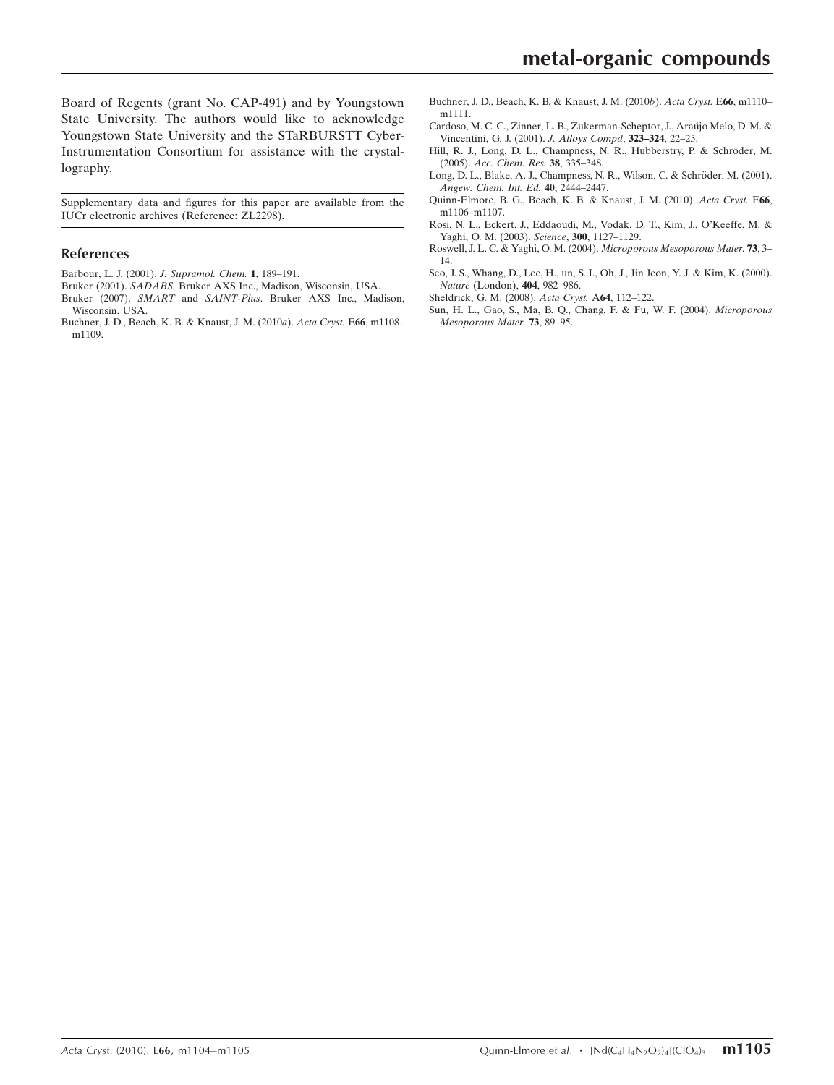Board of Regents (grant No. CAP-491) and by Youngstown State University. The authors would like to acknowledge Youngstown State University and the STaRBURSTT Cyber-Instrumentation Consortium for assistance with the crystallography.

Supplementary data and figures for this paper are available from the IUCr electronic archives (Reference: ZL2298).

#### References

- [Barbour, L. J. \(2001\).](https://scripts.iucr.org/cgi-bin/cr.cgi?rm=pdfbb&cnor=zl2298&bbid=BB1) J. Supramol. Chem. 1, 189–191.
- Bruker (2001). SADABS. [Bruker AXS Inc., Madison, Wisconsin, USA.](https://scripts.iucr.org/cgi-bin/cr.cgi?rm=pdfbb&cnor=zl2298&bbid=BB2)
- Bruker (2007). SMART and SAINT-Plus[. Bruker AXS Inc., Madison,](https://scripts.iucr.org/cgi-bin/cr.cgi?rm=pdfbb&cnor=zl2298&bbid=BB3) [Wisconsin, USA.](https://scripts.iucr.org/cgi-bin/cr.cgi?rm=pdfbb&cnor=zl2298&bbid=BB3)
- [Buchner, J. D., Beach, K. B. & Knaust, J. M. \(2010](https://scripts.iucr.org/cgi-bin/cr.cgi?rm=pdfbb&cnor=zl2298&bbid=BB4)a). Acta Cryst. E66, m1108– [m1109.](https://scripts.iucr.org/cgi-bin/cr.cgi?rm=pdfbb&cnor=zl2298&bbid=BB4)
- [Buchner, J. D., Beach, K. B. & Knaust, J. M. \(2010](https://scripts.iucr.org/cgi-bin/cr.cgi?rm=pdfbb&cnor=zl2298&bbid=BB5)b). Acta Cryst. E66, m1110– [m1111.](https://scripts.iucr.org/cgi-bin/cr.cgi?rm=pdfbb&cnor=zl2298&bbid=BB5)
- Cardoso, M. C. C., Zinner, L. B., Zukerman-Scheptor, J., Araújo Melo, D. M. & [Vincentini, G. J. \(2001\).](https://scripts.iucr.org/cgi-bin/cr.cgi?rm=pdfbb&cnor=zl2298&bbid=BB6) J. Alloys Compd, 323–324, 22–25.
- Hill, R. J., Long, D. L., Champness, N. R., Hubberstry, P. & Schröder, M. (2005). [Acc. Chem. Res.](https://scripts.iucr.org/cgi-bin/cr.cgi?rm=pdfbb&cnor=zl2298&bbid=BB7) 38, 335–348.
- Long, D. L., Blake, A. J., Champness, N. R., Wilson, C. & Schröder, M. (2001). [Angew. Chem. Int. Ed.](https://scripts.iucr.org/cgi-bin/cr.cgi?rm=pdfbb&cnor=zl2298&bbid=BB8) 40, 2444–2447.
- [Quinn-Elmore, B. G., Beach, K. B. & Knaust, J. M. \(2010\).](https://scripts.iucr.org/cgi-bin/cr.cgi?rm=pdfbb&cnor=zl2298&bbid=BB9) Acta Cryst. E66, [m1106–m1107.](https://scripts.iucr.org/cgi-bin/cr.cgi?rm=pdfbb&cnor=zl2298&bbid=BB9)
- [Rosi, N. L., Eckert, J., Eddaoudi, M., Vodak, D. T., Kim, J., O'Keeffe, M. &](https://scripts.iucr.org/cgi-bin/cr.cgi?rm=pdfbb&cnor=zl2298&bbid=BB10) [Yaghi, O. M. \(2003\).](https://scripts.iucr.org/cgi-bin/cr.cgi?rm=pdfbb&cnor=zl2298&bbid=BB10) Science, 300, 1127–1129.
- [Roswell, J. L. C. & Yaghi, O. M. \(2004\).](https://scripts.iucr.org/cgi-bin/cr.cgi?rm=pdfbb&cnor=zl2298&bbid=BB11) Microporous Mesoporous Mater. 73, 3– [14.](https://scripts.iucr.org/cgi-bin/cr.cgi?rm=pdfbb&cnor=zl2298&bbid=BB11)
- [Seo, J. S., Whang, D., Lee, H., un, S. I., Oh, J., Jin Jeon, Y. J. & Kim, K. \(2000\).](https://scripts.iucr.org/cgi-bin/cr.cgi?rm=pdfbb&cnor=zl2298&bbid=BB12) Nature [\(London\),](https://scripts.iucr.org/cgi-bin/cr.cgi?rm=pdfbb&cnor=zl2298&bbid=BB12) 404, 982–986.
- [Sheldrick, G. M. \(2008\).](https://scripts.iucr.org/cgi-bin/cr.cgi?rm=pdfbb&cnor=zl2298&bbid=BB13) Acta Cryst. A64, 112–122.
- [Sun, H. L., Gao, S., Ma, B. Q., Chang, F. & Fu, W. F. \(2004\).](https://scripts.iucr.org/cgi-bin/cr.cgi?rm=pdfbb&cnor=zl2298&bbid=BB14) Microporous [Mesoporous Mater.](https://scripts.iucr.org/cgi-bin/cr.cgi?rm=pdfbb&cnor=zl2298&bbid=BB14) 73, 89–95.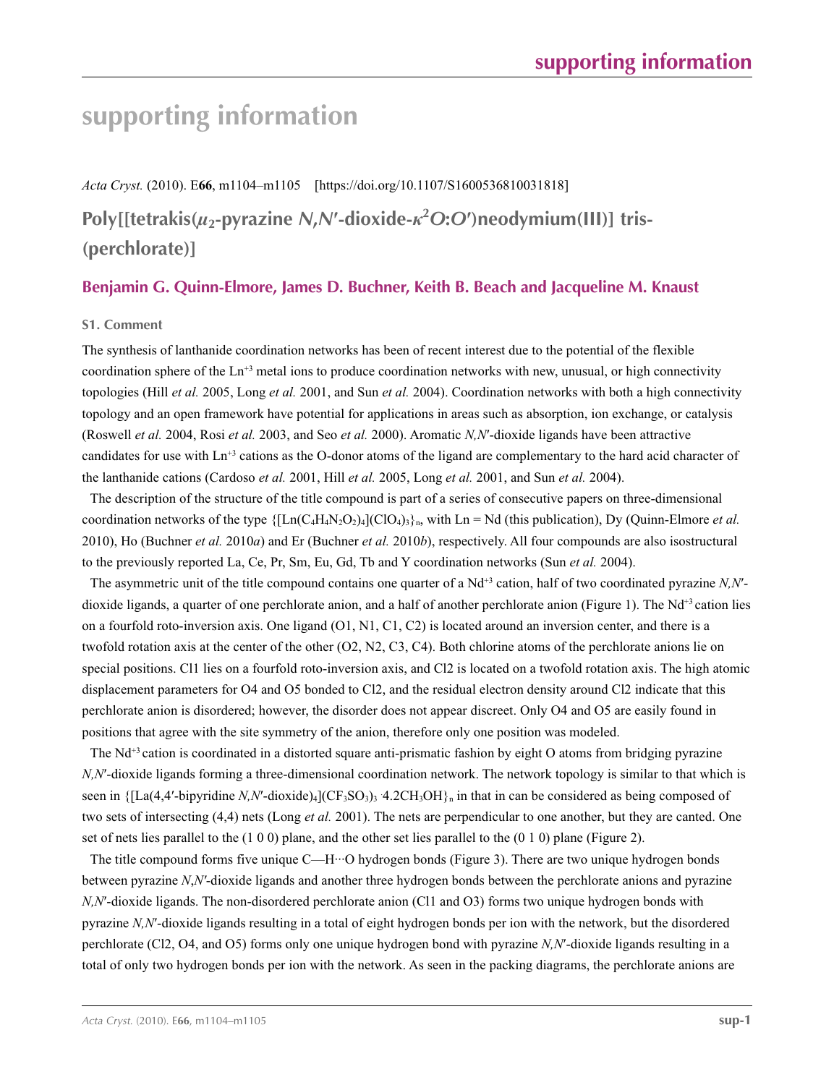## **supporting information**

*Acta Cryst.* (2010). E**66**, m1104–m1105 [https://doi.org/10.1107/S1600536810031818] **Poly[[tetrakis(***µ***2-pyrazine** *N***,***N***′-dioxide-***κ***<sup>2</sup>** *O***:***O***′)neodymium(III)] tris- (perchlorate)]**

## **Benjamin G. Quinn-Elmore, James D. Buchner, Keith B. Beach and Jacqueline M. Knaust**

#### **S1. Comment**

The synthesis of lanthanide coordination networks has been of recent interest due to the potential of the flexible coordination sphere of the Ln<sup>+3</sup> metal ions to produce coordination networks with new, unusual, or high connectivity topologies (Hill *et al.* 2005, Long *et al.* 2001, and Sun *et al.* 2004). Coordination networks with both a high connectivity topology and an open framework have potential for applications in areas such as absorption, ion exchange, or catalysis (Roswell *et al.* 2004, Rosi *et al.* 2003, and Seo *et al.* 2000). Aromatic *N,N*′-dioxide ligands have been attractive candidates for use with Ln+3 cations as the O-donor atoms of the ligand are complementary to the hard acid character of the lanthanide cations (Cardoso *et al.* 2001, Hill *et al.* 2005, Long *et al.* 2001, and Sun *et al.* 2004).

The description of the structure of the title compound is part of a series of consecutive papers on three-dimensional coordination networks of the type  $\{[Ln(C_4H_4N_2O_2)_4](ClO_4)_3\}_n$ , with  $Ln = Nd$  (this publication), Dy (Quinn-Elmore *et al.* 2010), Ho (Buchner *et al.* 2010*a*) and Er (Buchner *et al.* 2010*b*), respectively. All four compounds are also isostructural to the previously reported La, Ce, Pr, Sm, Eu, Gd, Tb and Y coordination networks (Sun *et al.* 2004).

The asymmetric unit of the title compound contains one quarter of a Nd<sup>+3</sup> cation, half of two coordinated pyrazine *N,N'*dioxide ligands, a quarter of one perchlorate anion, and a half of another perchlorate anion (Figure 1). The Nd<sup>+3</sup> cation lies on a fourfold roto-inversion axis. One ligand (O1, N1, C1, C2) is located around an inversion center, and there is a twofold rotation axis at the center of the other (O2, N2, C3, C4). Both chlorine atoms of the perchlorate anions lie on special positions. Cl1 lies on a fourfold roto-inversion axis, and Cl2 is located on a twofold rotation axis. The high atomic displacement parameters for O4 and O5 bonded to Cl2, and the residual electron density around Cl2 indicate that this perchlorate anion is disordered; however, the disorder does not appear discreet. Only O4 and O5 are easily found in positions that agree with the site symmetry of the anion, therefore only one position was modeled.

The Nd<sup>+3</sup> cation is coordinated in a distorted square anti-prismatic fashion by eight O atoms from bridging pyrazine *N,N<sup>'</sup>*-dioxide ligands forming a three-dimensional coordination network. The network topology is similar to that which is seen in  ${[La(4,4'-bipyridine N,N'-divide)](CF<sub>3</sub>SO<sub>3</sub>)<sub>3</sub>}$  4.2CH<sub>3</sub>OH}<sub>n</sub> in that in can be considered as being composed of two sets of intersecting (4,4) nets (Long *et al.* 2001). The nets are perpendicular to one another, but they are canted. One set of nets lies parallel to the (1 0 0) plane, and the other set lies parallel to the (0 1 0) plane (Figure 2).

The title compound forms five unique C—H···O hydrogen bonds (Figure 3). There are two unique hydrogen bonds between pyrazine *N*,*N′*-dioxide ligands and another three hydrogen bonds between the perchlorate anions and pyrazine *N,N<sup>'</sup>*-dioxide ligands. The non-disordered perchlorate anion (Cl1 and O3) forms two unique hydrogen bonds with pyrazine *N,N*′-dioxide ligands resulting in a total of eight hydrogen bonds per ion with the network, but the disordered perchlorate (Cl2, O4, and O5) forms only one unique hydrogen bond with pyrazine *N,N*′-dioxide ligands resulting in a total of only two hydrogen bonds per ion with the network. As seen in the packing diagrams, the perchlorate anions are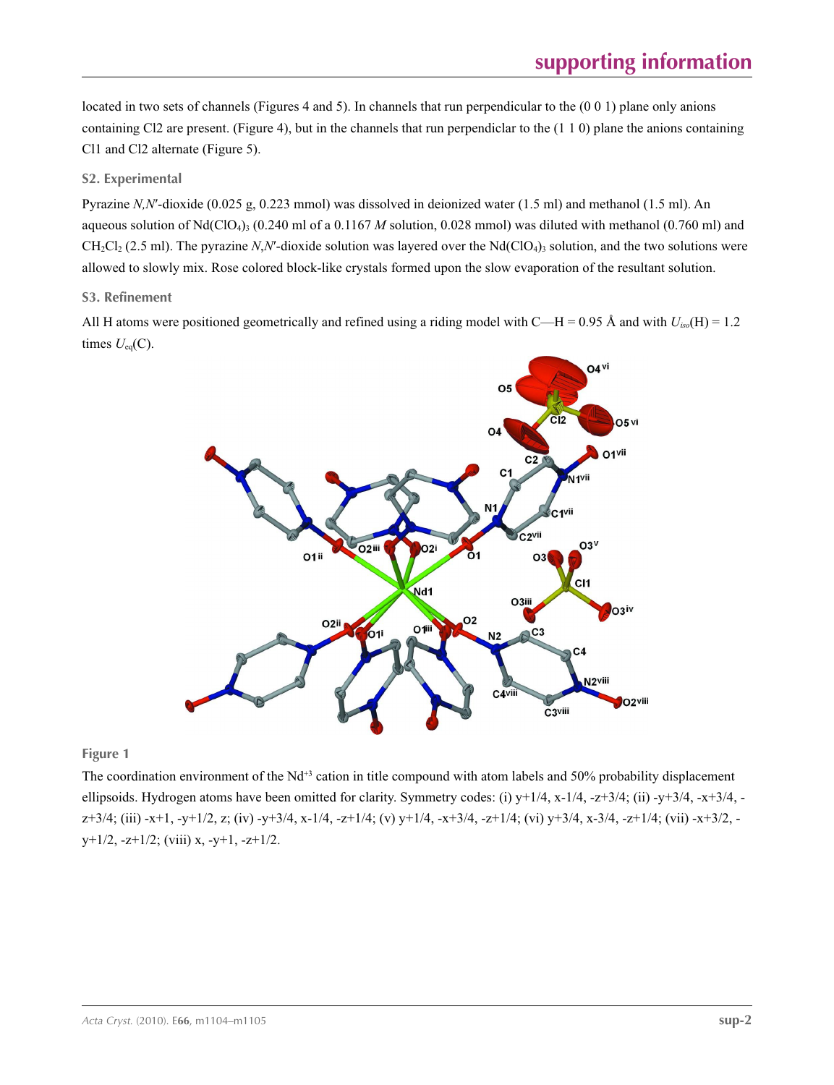located in two sets of channels (Figures 4 and 5). In channels that run perpendicular to the (0 0 1) plane only anions containing Cl2 are present. (Figure 4), but in the channels that run perpendiclar to the  $(1\ 1\ 0)$  plane the anions containing Cl1 and Cl2 alternate (Figure 5).

### **S2. Experimental**

Pyrazine *N,N*′-dioxide (0.025 g, 0.223 mmol) was dissolved in deionized water (1.5 ml) and methanol (1.5 ml). An aqueous solution of Nd(ClO<sub>4</sub>)<sub>3</sub> (0.240 ml of a 0.1167 *M* solution, 0.028 mmol) was diluted with methanol (0.760 ml) and  $CH_2Cl_2$  (2.5 ml). The pyrazine *N,N'*-dioxide solution was layered over the Nd(ClO<sub>4</sub>)<sub>3</sub> solution, and the two solutions were allowed to slowly mix. Rose colored block-like crystals formed upon the slow evaporation of the resultant solution.

### **S3. Refinement**

All H atoms were positioned geometrically and refined using a riding model with C—H = 0.95 Å and with  $U_{iso}(H) = 1.2$ times  $U_{eq}(C)$ .



**Figure 1**

The coordination environment of the  $Nd^{+3}$  cation in title compound with atom labels and 50% probability displacement ellipsoids. Hydrogen atoms have been omitted for clarity. Symmetry codes: (i)  $y+1/4$ ,  $x-1/4$ ,  $-z+3/4$ ; (ii)  $-y+3/4$ ,  $-x+3/4$ ,  $z+3/4$ ; (iii) -x+1, -y+1/2, z; (iv) -y+3/4, x-1/4, -z+1/4; (v) y+1/4, -x+3/4, -z+1/4; (vi) y+3/4, x-3/4, -z+1/4; (vii) -x+3/2,  $y+1/2$ ,  $-z+1/2$ ; (viii) x,  $-y+1$ ,  $-z+1/2$ .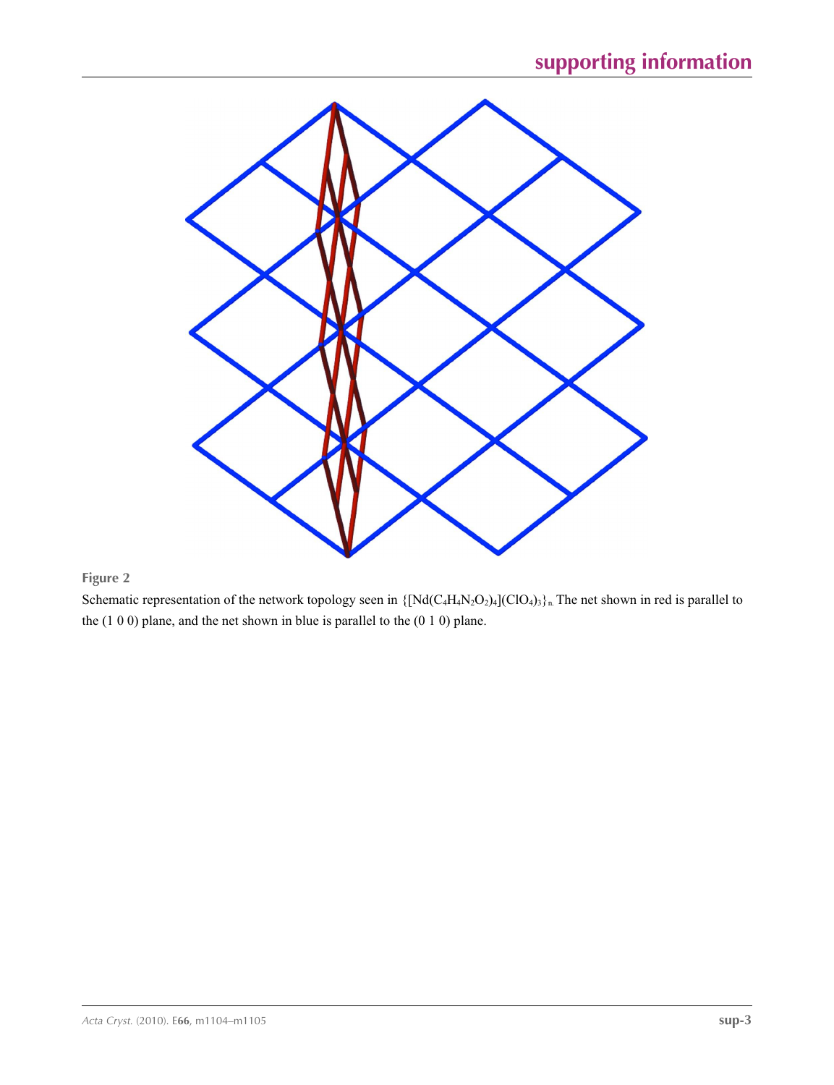

Schematic representation of the network topology seen in  $\{[Nd(C_4H_4N_2O_2)_4](ClO_4)_3\}_n$ . The net shown in red is parallel to the (1 0 0) plane, and the net shown in blue is parallel to the (0 1 0) plane.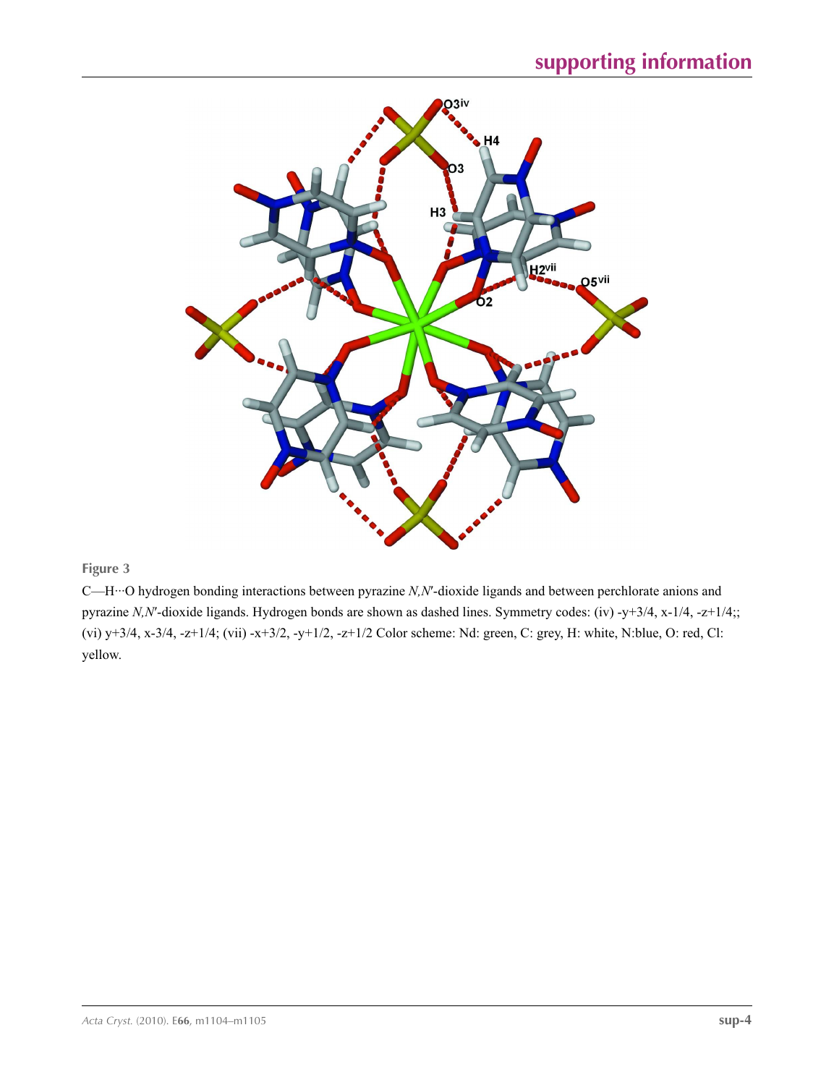

C—H···O hydrogen bonding interactions between pyrazine *N,N*′-dioxide ligands and between perchlorate anions and pyrazine *N,N*′-dioxide ligands. Hydrogen bonds are shown as dashed lines. Symmetry codes: (iv) -y+3/4, x-1/4, -z+1/4;; (vi) y+3/4, x-3/4, -z+1/4; (vii) -x+3/2, -y+1/2, -z+1/2 Color scheme: Nd: green, C: grey, H: white, N:blue, O: red, Cl: yellow.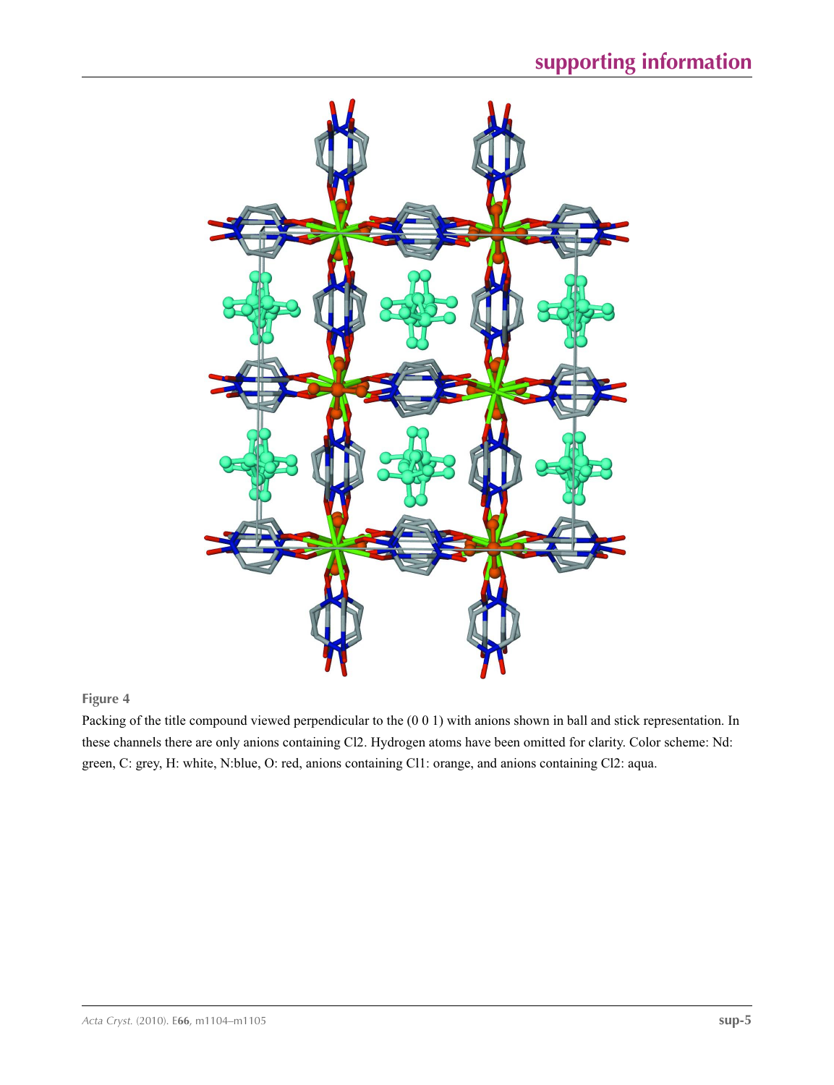

Packing of the title compound viewed perpendicular to the (0 0 1) with anions shown in ball and stick representation. In these channels there are only anions containing Cl2. Hydrogen atoms have been omitted for clarity. Color scheme: Nd: green, C: grey, H: white, N:blue, O: red, anions containing Cl1: orange, and anions containing Cl2: aqua.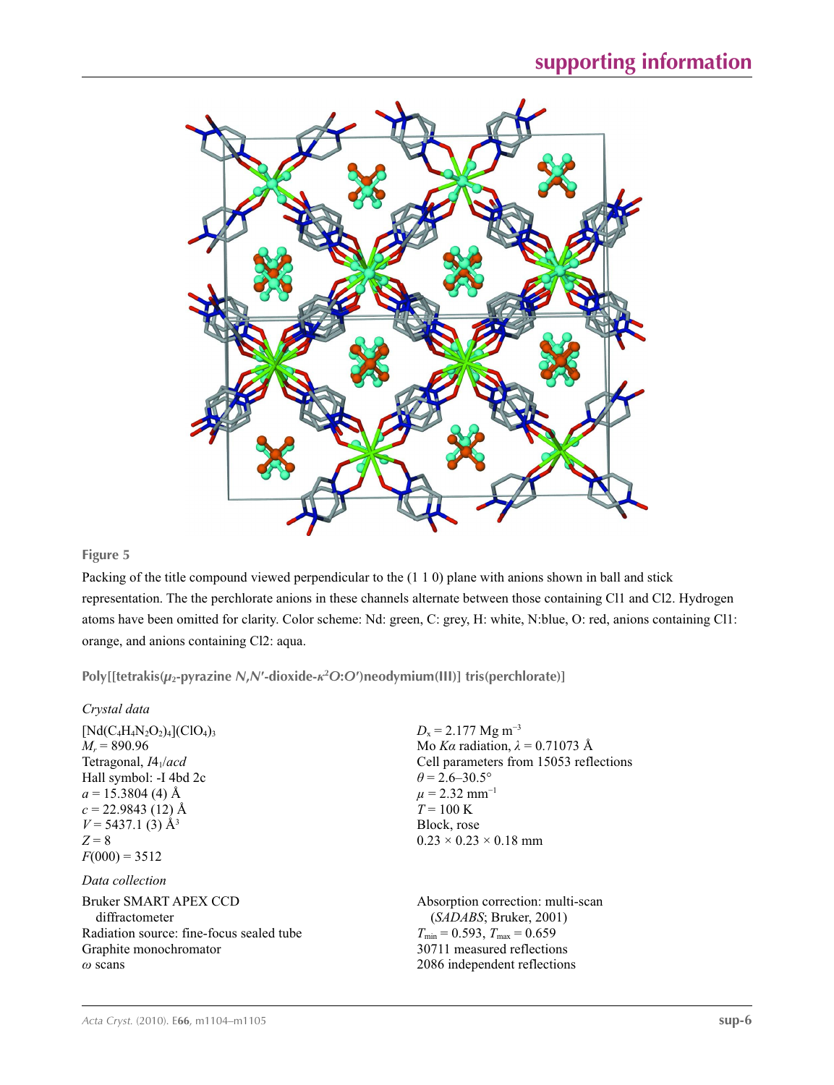

Packing of the title compound viewed perpendicular to the (1 1 0) plane with anions shown in ball and stick representation. The the perchlorate anions in these channels alternate between those containing Cl1 and Cl2. Hydrogen atoms have been omitted for clarity. Color scheme: Nd: green, C: grey, H: white, N:blue, O: red, anions containing Cl1: orange, and anions containing Cl2: aqua.

**Poly[[tetrakis(***µ***2-pyrazine** *N***,***N***′-dioxide-***κ***<sup>2</sup>** *O***:***O***′)neodymium(III)] tris(perchlorate)]** 

| Crystal data                                            |                                                     |
|---------------------------------------------------------|-----------------------------------------------------|
| $[Nd(C_4H_4N_2O_2)_4]$ (ClO <sub>4</sub> ) <sub>3</sub> | $D_x = 2.177$ Mg m <sup>-3</sup>                    |
| $M_r = 890.96$                                          | Mo Ka radiation, $\lambda = 0.71073$ Å              |
| Tetragonal, $I4_1/acd$                                  | Cell parameters from 15053 reflections              |
| Hall symbol: -I 4bd 2c                                  | $\theta$ = 2.6–30.5°                                |
| $a = 15.3804$ (4) Å                                     | $\mu$ = 2.32 mm <sup>-1</sup>                       |
| $c = 22.9843(12)$ Å                                     | $T = 100 \text{ K}$                                 |
| $V = 5437.1$ (3) Å <sup>3</sup>                         | Block, rose                                         |
| $Z = 8$                                                 | $0.23 \times 0.23 \times 0.18$ mm                   |
| $F(000) = 3512$                                         |                                                     |
| Data collection                                         |                                                     |
| Bruker SMART APEX CCD                                   | Absorption correction: multi-scan                   |
| diffractometer                                          | (SADABS; Bruker, 2001)                              |
| Radiation source: fine-focus sealed tube                | $T_{\text{min}} = 0.593$ , $T_{\text{max}} = 0.659$ |
| Graphite monochromator                                  | 30711 measured reflections                          |
| $\omega$ scans                                          | 2086 independent reflections                        |
|                                                         |                                                     |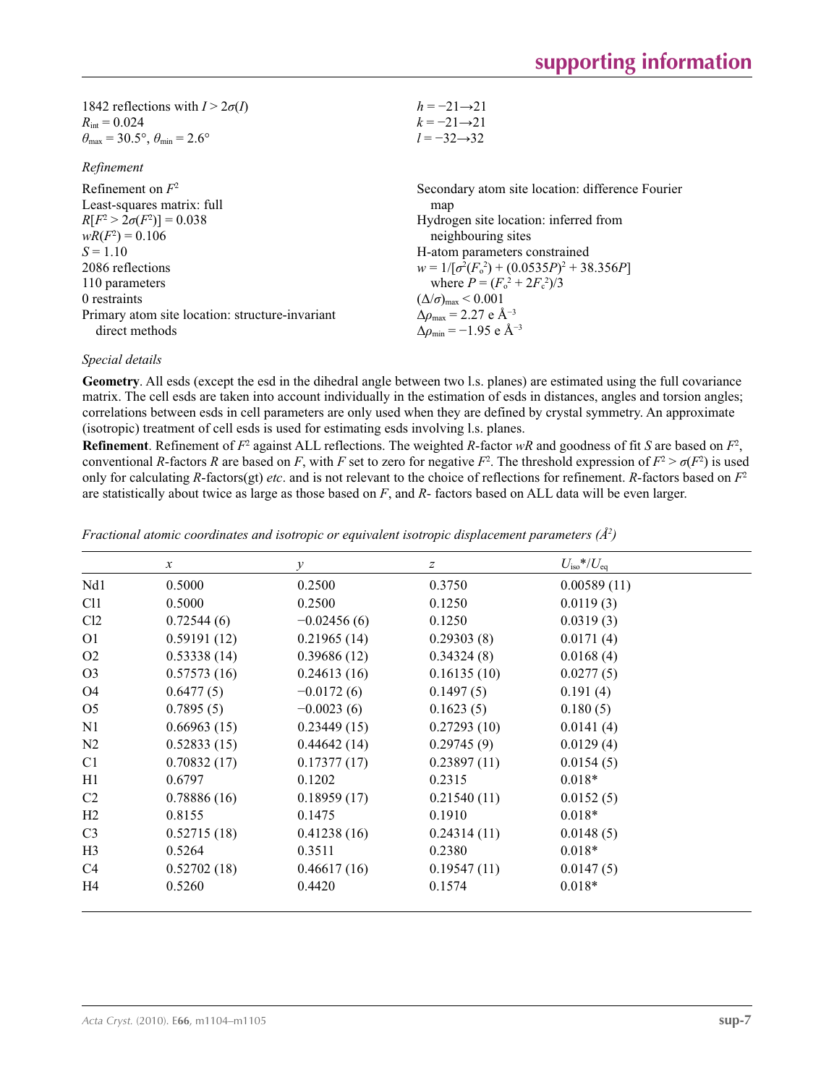| 1842 reflections with $I > 2\sigma(I)$                                  | $h = -21 \rightarrow 21$                          |
|-------------------------------------------------------------------------|---------------------------------------------------|
| $R_{\text{int}} = 0.024$                                                | $k = -21 \rightarrow 21$                          |
| $\theta_{\text{max}} = 30.5^{\circ}, \theta_{\text{min}} = 2.6^{\circ}$ | $l = -32 \rightarrow 32$                          |
| Refinement                                                              |                                                   |
| Refinement on $F^2$                                                     | Secondary atom site location: difference Fourier  |
| Least-squares matrix: full                                              | map                                               |
| $R[F^2 > 2\sigma(F^2)] = 0.038$                                         | Hydrogen site location: inferred from             |
| $wR(F^2) = 0.106$                                                       | neighbouring sites                                |
| $S = 1.10$                                                              | H-atom parameters constrained                     |
| 2086 reflections                                                        | $w = 1/[\sigma^2(F_0^2) + (0.0535P)^2 + 38.356P]$ |
| 110 parameters                                                          | where $P = (F_0^2 + 2F_c^2)/3$                    |
| 0 restraints                                                            | $(\Delta/\sigma)_{\text{max}}$ < 0.001            |
| Primary atom site location: structure-invariant                         | $\Delta\rho_{\rm max}$ = 2.27 e Å <sup>-3</sup>   |
| direct methods                                                          | $\Delta\rho_{\rm min} = -1.95$ e Å <sup>-3</sup>  |

#### *Special details*

**Geometry**. All esds (except the esd in the dihedral angle between two l.s. planes) are estimated using the full covariance matrix. The cell esds are taken into account individually in the estimation of esds in distances, angles and torsion angles; correlations between esds in cell parameters are only used when they are defined by crystal symmetry. An approximate (isotropic) treatment of cell esds is used for estimating esds involving l.s. planes.

**Refinement**. Refinement of  $F^2$  against ALL reflections. The weighted R-factor wR and goodness of fit *S* are based on  $F^2$ , conventional *R*-factors *R* are based on *F*, with *F* set to zero for negative  $F^2$ . The threshold expression of  $F^2 > \sigma(F^2)$  is used only for calculating *R*-factors(gt) *etc*. and is not relevant to the choice of reflections for refinement. *R*-factors based on *F*<sup>2</sup> are statistically about twice as large as those based on *F*, and *R*- factors based on ALL data will be even larger.

|                 | $\boldsymbol{x}$ | $\mathcal{Y}$ | z           | $U_{\rm iso}*/U_{\rm eq}$ |  |
|-----------------|------------------|---------------|-------------|---------------------------|--|
| Nd1             | 0.5000           | 0.2500        | 0.3750      | 0.00589(11)               |  |
| C <sub>11</sub> | 0.5000           | 0.2500        | 0.1250      | 0.0119(3)                 |  |
| Cl <sub>2</sub> | 0.72544(6)       | $-0.02456(6)$ | 0.1250      | 0.0319(3)                 |  |
| O <sub>1</sub>  | 0.59191(12)      | 0.21965(14)   | 0.29303(8)  | 0.0171(4)                 |  |
| O <sub>2</sub>  | 0.53338(14)      | 0.39686(12)   | 0.34324(8)  | 0.0168(4)                 |  |
| O <sub>3</sub>  | 0.57573(16)      | 0.24613(16)   | 0.16135(10) | 0.0277(5)                 |  |
| O <sub>4</sub>  | 0.6477(5)        | $-0.0172(6)$  | 0.1497(5)   | 0.191(4)                  |  |
| O <sub>5</sub>  | 0.7895(5)        | $-0.0023(6)$  | 0.1623(5)   | 0.180(5)                  |  |
| N1              | 0.66963(15)      | 0.23449(15)   | 0.27293(10) | 0.0141(4)                 |  |
| N2              | 0.52833(15)      | 0.44642(14)   | 0.29745(9)  | 0.0129(4)                 |  |
| C <sub>1</sub>  | 0.70832(17)      | 0.17377(17)   | 0.23897(11) | 0.0154(5)                 |  |
| H1              | 0.6797           | 0.1202        | 0.2315      | $0.018*$                  |  |
| C <sub>2</sub>  | 0.78886(16)      | 0.18959(17)   | 0.21540(11) | 0.0152(5)                 |  |
| H2              | 0.8155           | 0.1475        | 0.1910      | $0.018*$                  |  |
| C <sub>3</sub>  | 0.52715(18)      | 0.41238(16)   | 0.24314(11) | 0.0148(5)                 |  |
| H <sub>3</sub>  | 0.5264           | 0.3511        | 0.2380      | $0.018*$                  |  |
| C <sub>4</sub>  | 0.52702(18)      | 0.46617(16)   | 0.19547(11) | 0.0147(5)                 |  |
| H4              | 0.5260           | 0.4420        | 0.1574      | $0.018*$                  |  |

*Fractional atomic coordinates and isotropic or equivalent isotropic displacement parameters (Å<sup>2</sup>)*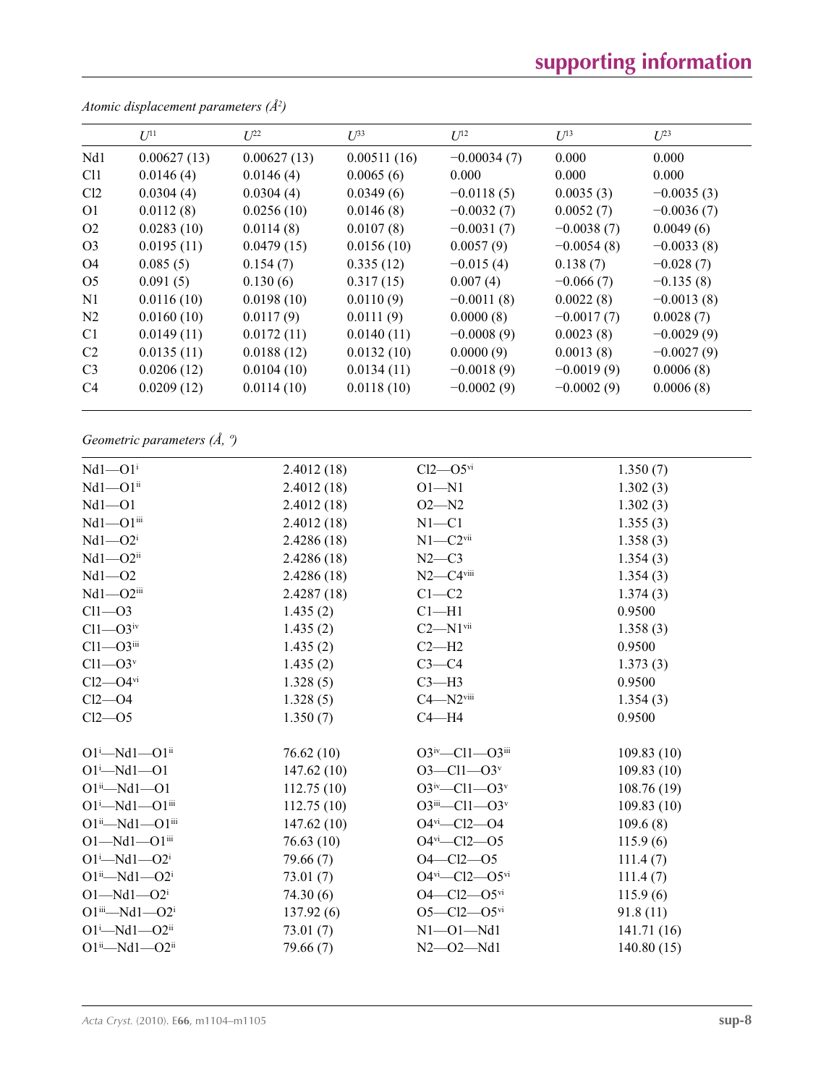# **supporting information**

|                | $U^{11}$    | $L^{22}$    | $\mathcal{L}^{\beta 3}$ | $U^{12}$      | $U^{13}$     | $U^{23}$     |
|----------------|-------------|-------------|-------------------------|---------------|--------------|--------------|
| Nd1            | 0.00627(13) | 0.00627(13) | 0.00511(16)             | $-0.00034(7)$ | 0.000        | 0.000        |
| Cl1            | 0.0146(4)   | 0.0146(4)   | 0.0065(6)               | 0.000         | 0.000        | 0.000        |
| Cl2            | 0.0304(4)   | 0.0304(4)   | 0.0349(6)               | $-0.0118(5)$  | 0.0035(3)    | $-0.0035(3)$ |
| O <sub>1</sub> | 0.0112(8)   | 0.0256(10)  | 0.0146(8)               | $-0.0032(7)$  | 0.0052(7)    | $-0.0036(7)$ |
| O <sub>2</sub> | 0.0283(10)  | 0.0114(8)   | 0.0107(8)               | $-0.0031(7)$  | $-0.0038(7)$ | 0.0049(6)    |
| O <sub>3</sub> | 0.0195(11)  | 0.0479(15)  | 0.0156(10)              | 0.0057(9)     | $-0.0054(8)$ | $-0.0033(8)$ |
| O4             | 0.085(5)    | 0.154(7)    | 0.335(12)               | $-0.015(4)$   | 0.138(7)     | $-0.028(7)$  |
| O <sub>5</sub> | 0.091(5)    | 0.130(6)    | 0.317(15)               | 0.007(4)      | $-0.066(7)$  | $-0.135(8)$  |
| N <sub>1</sub> | 0.0116(10)  | 0.0198(10)  | 0.0110(9)               | $-0.0011(8)$  | 0.0022(8)    | $-0.0013(8)$ |
| N <sub>2</sub> | 0.0160(10)  | 0.0117(9)   | 0.0111(9)               | 0.0000(8)     | $-0.0017(7)$ | 0.0028(7)    |
| C <sub>1</sub> | 0.0149(11)  | 0.0172(11)  | 0.0140(11)              | $-0.0008(9)$  | 0.0023(8)    | $-0.0029(9)$ |
| C <sub>2</sub> | 0.0135(11)  | 0.0188(12)  | 0.0132(10)              | 0.0000(9)     | 0.0013(8)    | $-0.0027(9)$ |
| C <sub>3</sub> | 0.0206(12)  | 0.0104(10)  | 0.0134(11)              | $-0.0018(9)$  | $-0.0019(9)$ | 0.0006(8)    |
| C <sub>4</sub> | 0.0209(12)  | 0.0114(10)  | 0.0118(10)              | $-0.0002(9)$  | $-0.0002(9)$ | 0.0006(8)    |
|                |             |             |                         |               |              |              |

*Atomic displacement parameters (Å2 )*

*Geometric parameters (Å, º)*

| $Nd1 - O1i$                          | 2.4012(18) | $Cl2$ — $O5$ <sup>vi</sup>               | 1.350(7)   |
|--------------------------------------|------------|------------------------------------------|------------|
| $Nd1 - O1ii$                         | 2.4012(18) | $O1 - N1$                                | 1.302(3)   |
| $Nd1 - O1$                           | 2.4012(18) | $O2 - N2$                                | 1.302(3)   |
| $Nd1 - O1$ <sup>iii</sup>            | 2.4012(18) | $N1 - C1$                                | 1.355(3)   |
| $Nd1 - O2i$                          | 2.4286(18) | $N1-C2$ <sup>vii</sup>                   | 1.358(3)   |
| $Nd1 - O2ii$                         | 2.4286(18) | $N2-C3$                                  | 1.354(3)   |
| $Nd1 - O2$                           | 2.4286(18) | $N2-C4$ <sup>viii</sup>                  | 1.354(3)   |
| $Nd1 - O2$ <sup>iii</sup>            | 2.4287(18) | $C1 - C2$                                | 1.374(3)   |
| $Cl1 - O3$                           | 1.435(2)   | $Cl - H1$                                | 0.9500     |
| $Cl1 - O3$ <sup>iv</sup>             | 1.435(2)   | $C2 - N1$ <sup>vii</sup>                 | 1.358(3)   |
| $Cl1 - O3$ iii                       | 1.435(2)   | $C2-H2$                                  | 0.9500     |
| $Cl1 - O3v$                          | 1.435(2)   | $C3-C4$                                  | 1.373(3)   |
| $Cl2$ — $O4$ <sup>vi</sup>           | 1.328(5)   | $C3-H3$                                  | 0.9500     |
| $Cl2$ -O4                            | 1.328(5)   | $C4 - N2$ <sup>viii</sup>                | 1.354(3)   |
| $Cl2 - O5$                           | 1.350(7)   | $C4 - H4$                                | 0.9500     |
|                                      |            |                                          |            |
| $O1^i$ -Nd $1$ - $O1^i$              | 76.62(10)  | $O3^{iv}$ —Cl1— $O3^{iii}$               | 109.83(10) |
| $O1^i$ —Nd $1$ — $O1$                | 147.62(10) | $O3 - Cl1 - O3$ <sup>v</sup>             | 109.83(10) |
| $O1^{ii}$ $-Md1$ $-O1$               | 112.75(10) | $O3^{\rm iv}$ —Cl1—O3 <sup>v</sup>       | 108.76(19) |
| $O1^i$ -Nd $1$ - $O1$ <sup>iii</sup> | 112.75(10) | $O3$ <sup>iii</sup> —Cl1—O3 <sup>v</sup> | 109.83(10) |
| $O1^{ii}$ -Nd1 - $O1^{iii}$          | 147.62(10) | $O4$ <sup>vi</sup> - $Cl2$ - $O4$        | 109.6(8)   |
| $O1 - Nd1 - O1$ <sup>iii</sup>       | 76.63(10)  | $O4$ <sup>vi</sup> —Cl2—O5               | 115.9(6)   |
| $O1^i$ —Nd $1$ — $O2^i$              | 79.66(7)   | $O4 - Cl2 - O5$                          | 111.4(7)   |
| $O1^{ii}$ —Nd $1$ — $O2^{i}$         | 73.01(7)   | $O4^{vi}$ - $Cl2$ - $O5^{vi}$            | 111.4(7)   |
| $O1 - Nd1 - O2i$                     | 74.30(6)   | $O4 - Cl2 - O5$ <sup>vi</sup>            | 115.9(6)   |
| $O1^{iii}$ $-Md1$ $-O2i$             | 137.92(6)  | $O5 - Cl2 - O5$ <sup>vi</sup>            | 91.8(11)   |
| $O1^i$ -Nd $1$ - $O2^{ii}$           | 73.01(7)   | $N1 - 01 - Nd1$                          | 141.71(16) |
| $O1^{ii}$ —Nd $1$ — $O2^{ii}$        | 79.66(7)   | $N2 - 02 - Nd1$                          | 140.80(15) |
|                                      |            |                                          |            |